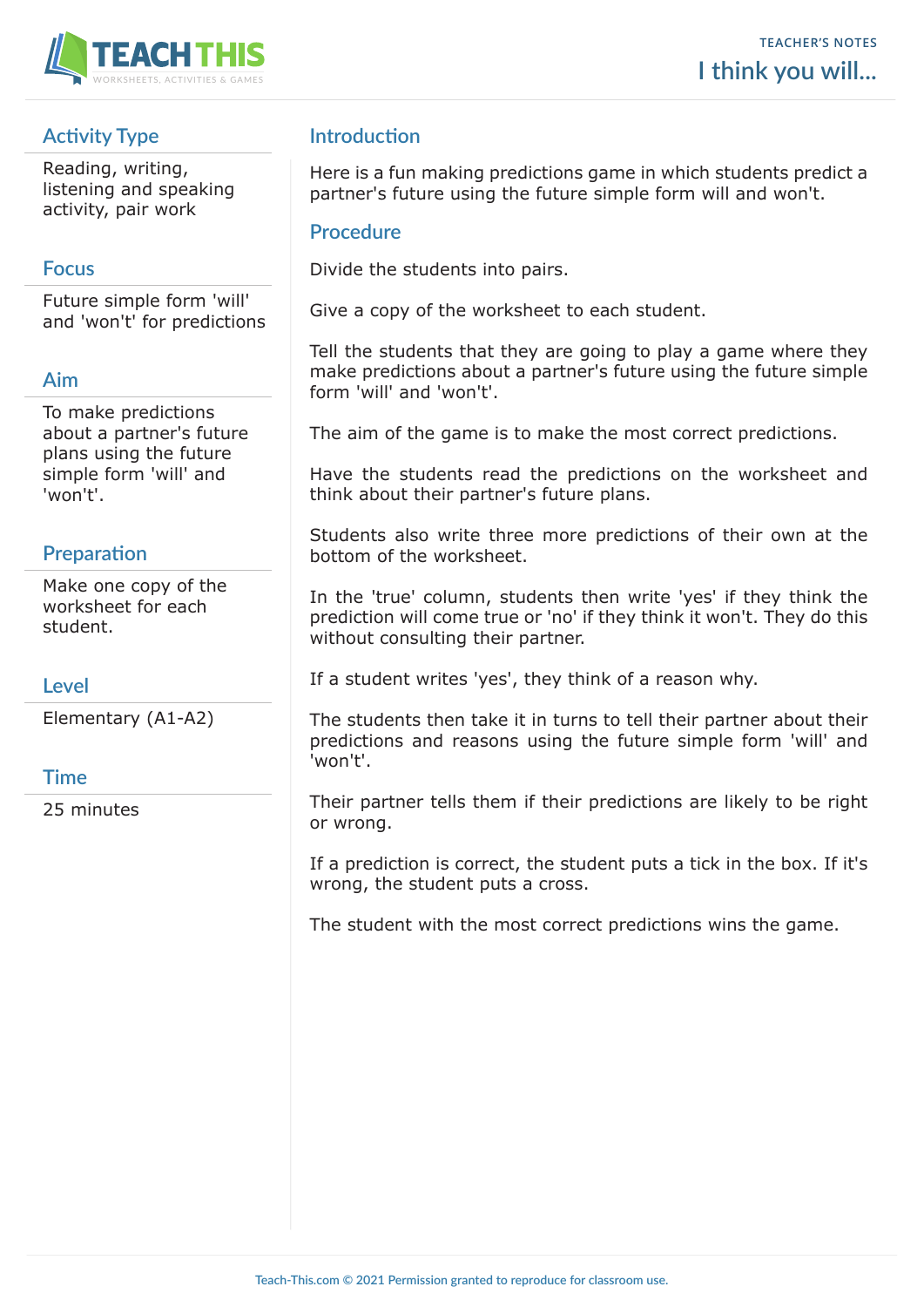

# **Activity Type**

Reading, writing, listening and speaking activity, pair work

### **Focus**

Future simple form 'will' and 'won't' for predictions

## **Aim**

To make predictions about a partner's future plans using the future simple form 'will' and 'won't'.

## **Preparation**

Make one copy of the worksheet for each student.

#### **Level**

Elementary (A1-A2)

#### **Time**

25 minutes

# **Introduction**

Here is a fun making predictions game in which students predict a partner's future using the future simple form will and won't.

#### **Procedure**

Divide the students into pairs.

Give a copy of the worksheet to each student.

Tell the students that they are going to play a game where they make predictions about a partner's future using the future simple form 'will' and 'won't'.

The aim of the game is to make the most correct predictions.

Have the students read the predictions on the worksheet and think about their partner's future plans.

Students also write three more predictions of their own at the bottom of the worksheet.

In the 'true' column, students then write 'yes' if they think the prediction will come true or 'no' if they think it won't. They do this without consulting their partner.

If a student writes 'yes', they think of a reason why.

The students then take it in turns to tell their partner about their predictions and reasons using the future simple form 'will' and 'won't'.

Their partner tells them if their predictions are likely to be right or wrong.

If a prediction is correct, the student puts a tick in the box. If it's wrong, the student puts a cross.

The student with the most correct predictions wins the game.